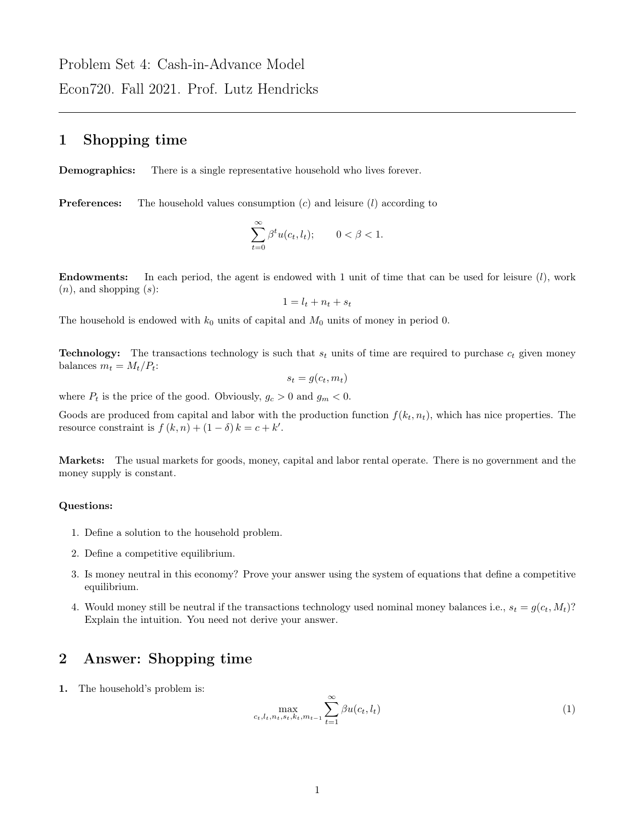Problem Set 4: Cash-in-Advance Model Econ720. Fall 2021. Prof. Lutz Hendricks

## 1 Shopping time

Demographics: There is a single representative household who lives forever.

**Preferences:** The household values consumption  $(c)$  and leisure  $(l)$  according to

$$
\sum_{t=0}^{\infty} \beta^t u(c_t, l_t); \qquad 0 < \beta < 1.
$$

**Endowments:** In each period, the agent is endowed with 1 unit of time that can be used for leisure  $(l)$ , work  $(n)$ , and shopping  $(s)$ :

$$
1 = l_t + n_t + s_t
$$

The household is endowed with  $k_0$  units of capital and  $M_0$  units of money in period 0.

**Technology:** The transactions technology is such that  $s_t$  units of time are required to purchase  $c_t$  given money balances  $m_t = M_t/P_t$ :

$$
s_t = g(c_t, m_t)
$$

where  $P_t$  is the price of the good. Obviously,  $g_c > 0$  and  $g_m < 0$ .

Goods are produced from capital and labor with the production function  $f(k_t, n_t)$ , which has nice properties. The resource constraint is  $f(k, n) + (1 - \delta) k = c + k'$ .

Markets: The usual markets for goods, money, capital and labor rental operate. There is no government and the money supply is constant.

## Questions:

- 1. Define a solution to the household problem.
- 2. Define a competitive equilibrium.
- 3. Is money neutral in this economy? Prove your answer using the system of equations that define a competitive equilibrium.
- 4. Would money still be neutral if the transactions technology used nominal money balances i.e.,  $s_t = g(c_t, M_t)$ ? Explain the intuition. You need not derive your answer.

## 2 Answer: Shopping time

1. The household's problem is:

$$
\max_{c_t, l_t, n_t, s_t, k_t, m_{t-1}} \sum_{t=1}^{\infty} \beta u(c_t, l_t)
$$
 (1)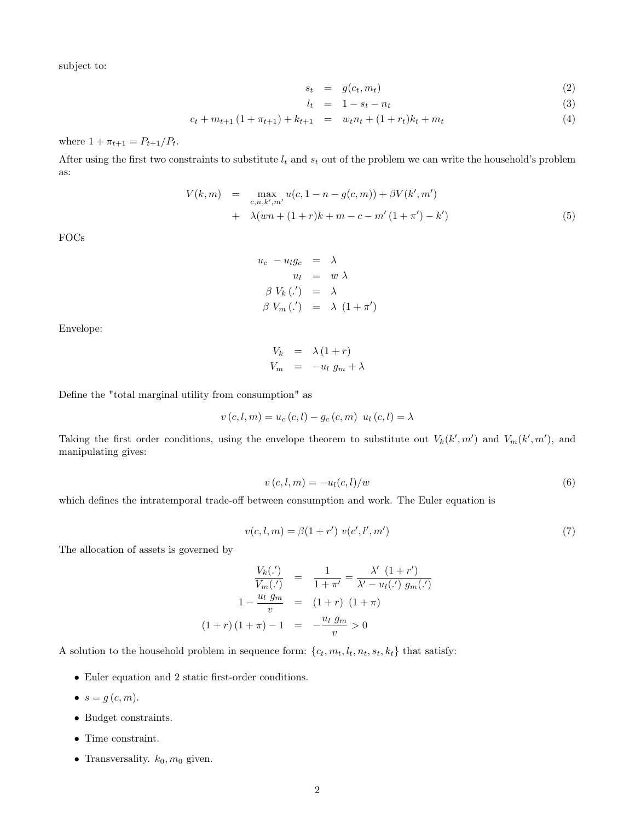subject to:

$$
s_t = g(c_t, m_t) \tag{2}
$$

$$
l_t = 1 - s_t - n_t \tag{3}
$$

 $c_t + m_{t+1} (1 + \pi_{t+1}) + k_{t+1} = w_t n_t + (1 + r_t) k_t + m_t$  (4)

where  $1 + \pi_{t+1} = P_{t+1}/P_t$ .

After using the first two constraints to substitute  $l_t$  and  $s_t$  out of the problem we can write the household's problem as:

$$
V(k,m) = \max_{c,n,k',m'} u(c,1-n-g(c,m)) + \beta V(k',m')
$$
  
+  $\lambda (wn + (1+r)k + m - c - m' (1 + \pi') - k')$  (5)

FOCs

$$
u_c - u_l g_c = \lambda
$$
  
\n
$$
u_l = w \lambda
$$
  
\n
$$
\beta V_k(.)' = \lambda
$$
  
\n
$$
\beta V_m(.) = \lambda (1 + \pi')
$$

Envelope:

$$
V_k = \lambda (1+r)
$$
  

$$
V_m = -u_l g_m + \lambda
$$

Define the "total marginal utility from consumption" as

$$
v(c, l, m) = u_c(c, l) - g_c(c, m) \ u_l(c, l) = \lambda
$$

Taking the first order conditions, using the envelope theorem to substitute out  $V_k(k', m')$  and  $V_m(k', m')$ , and manipulating gives:

$$
v(c, l, m) = -ul(c, l)/w
$$
\n
$$
(6)
$$

which defines the intratemporal trade-off between consumption and work. The Euler equation is

$$
v(c, l, m) = \beta(1 + r') v(c', l', m')
$$
\n(7)

The allocation of assets is governed by

$$
\frac{V_k(\cdot')}{V_m(\cdot')} = \frac{1}{1+\pi'} = \frac{\lambda' (1+r')}{\lambda' - u_l(\cdot') g_m(\cdot')}
$$
  

$$
1 - \frac{u_l g_m}{v} = (1+r) (1+\pi)
$$
  

$$
(1+r) (1+\pi) - 1 = -\frac{u_l g_m}{v} > 0
$$

A solution to the household problem in sequence form:  $\{c_t, m_t, l_t, n_t, s_t, k_t\}$  that satisfy:

- Euler equation and 2 static first-order conditions.
- $s = g(c, m)$ .
- Budget constraints.
- Time constraint.
- Transversality.  $k_0, m_0$  given.